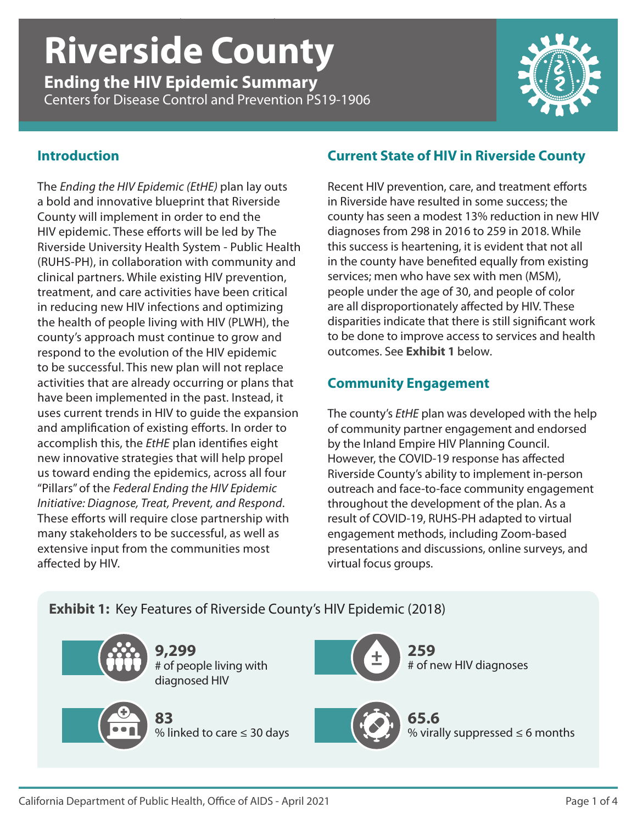# *Ending the HIV Epidemic Summary* | **Riverside County** | CDC PS19-1906 **Riverside County**

**Ending the HIV Epidemic Summary** Centers for Disease Control and Prevention PS19-1906



#### **Introduction**

The *Ending the HIV Epidemic (EtHE)* plan lay outs a bold and innovative blueprint that Riverside County will implement in order to end the HIV epidemic. These efforts will be led by The Riverside University Health System - Public Health (RUHS-PH), in collaboration with community and clinical partners. While existing HIV prevention, treatment, and care activities have been critical in reducing new HIV infections and optimizing the health of people living with HIV (PLWH), the county's approach must continue to grow and respond to the evolution of the HIV epidemic to be successful. This new plan will not replace activities that are already occurring or plans that have been implemented in the past. Instead, it uses current trends in HIV to guide the expansion and amplification of existing efforts. In order to accomplish this, the *EtHE* plan identifies eight new innovative strategies that will help propel us toward ending the epidemics, across all four "Pillars" of the *Federal Ending the HIV Epidemic Initiative: Diagnose, Treat, Prevent, and Respond*. These efforts will require close partnership with many stakeholders to be successful, as well as extensive input from the communities most affected by HIV.

#### **Current State of HIV in Riverside County**

Recent HIV prevention, care, and treatment efforts in Riverside have resulted in some success; the county has seen a modest 13% reduction in new HIV diagnoses from 298 in 2016 to 259 in 2018. While this success is heartening, it is evident that not all in the county have benefited equally from existing services; men who have sex with men (MSM), people under the age of 30, and people of color are all disproportionately affected by HIV. These disparities indicate that there is still significant work to be done to improve access to services and health outcomes. See **Exhibit 1** below.

### **Community Engagement**

The county's *EtHE* plan was developed with the help of community partner engagement and endorsed by the Inland Empire HIV Planning Council. However, the COVID-19 response has affected Riverside County's ability to implement in-person outreach and face-to-face community engagement throughout the development of the plan. As a result of COVID-19, RUHS-PH adapted to virtual engagement methods, including Zoom-based presentations and discussions, online surveys, and virtual focus groups.

# **Exhibit 1:** Key Features of Riverside County's HIV Epidemic (2018)

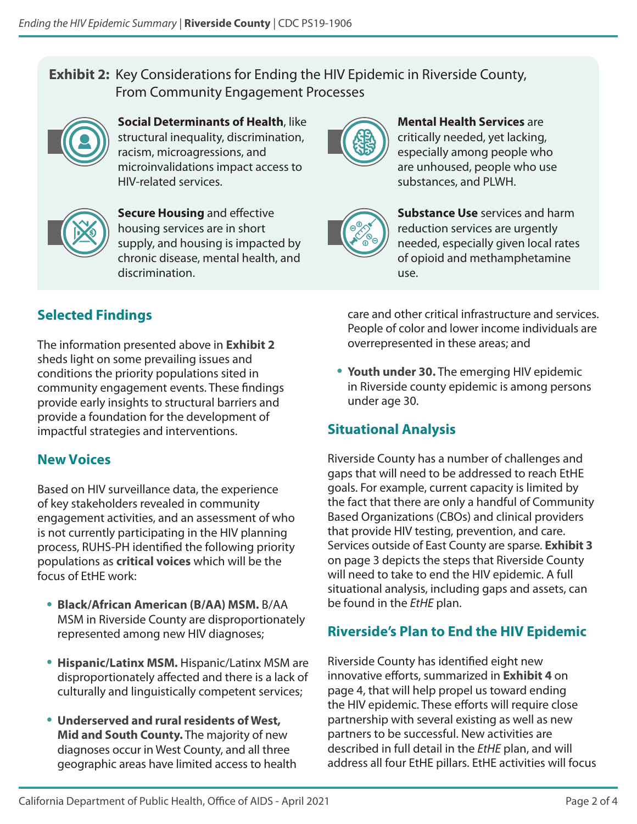# **Exhibit 2:** Key Considerations for Ending the HIV Epidemic in Riverside County, From Community Engagement Processes



**Social Determinants of Health**, like structural inequality, discrimination, racism, microagressions, and microinvalidations impact access to HIV-related services.



**Secure Housing** and effective housing services are in short supply, and housing is impacted by chronic disease, mental health, and discrimination.



**Mental Health Services** are critically needed, yet lacking, especially among people who are unhoused, people who use substances, and PLWH.



**Substance Use** services and harm reduction services are urgently needed, especially given local rates of opioid and methamphetamine use.

# **Selected Findings**

The information presented above in **Exhibit 2** sheds light on some prevailing issues and conditions the priority populations sited in community engagement events. These findings provide early insights to structural barriers and provide a foundation for the development of impactful strategies and interventions.

# **New Voices**

Based on HIV surveillance data, the experience of key stakeholders revealed in community engagement activities, and an assessment of who is not currently participating in the HIV planning process, RUHS-PH identified the following priority populations as **critical voices** which will be the focus of EtHE work:

- **Black/African American (B/AA) MSM.** B/AA MSM in Riverside County are disproportionately represented among new HIV diagnoses;
- **Hispanic/Latinx MSM.** Hispanic/Latinx MSM are disproportionately affected and there is a lack of culturally and linguistically competent services;
- **Underserved and rural residents of West, Mid and South County.** The majority of new diagnoses occur in West County, and all three geographic areas have limited access to health

care and other critical infrastructure and services. People of color and lower income individuals are overrepresented in these areas; and

• **Youth under 30.** The emerging HIV epidemic in Riverside county epidemic is among persons under age 30.

# **Situational Analysis**

Riverside County has a number of challenges and gaps that will need to be addressed to reach EtHE goals. For example, current capacity is limited by the fact that there are only a handful of Community Based Organizations (CBOs) and clinical providers that provide HIV testing, prevention, and care. Services outside of East County are sparse. **Exhibit 3** on page 3 depicts the steps that Riverside County will need to take to end the HIV epidemic. A full situational analysis, including gaps and assets, can be found in the *EtHE* plan.

# **Riverside's Plan to End the HIV Epidemic**

Riverside County has identified eight new innovative efforts, summarized in **Exhibit 4** on page 4, that will help propel us toward ending the HIV epidemic. These efforts will require close partnership with several existing as well as new partners to be successful. New activities are described in full detail in the *EtHE* plan, and will address all four EtHE pillars. EtHE activities will focus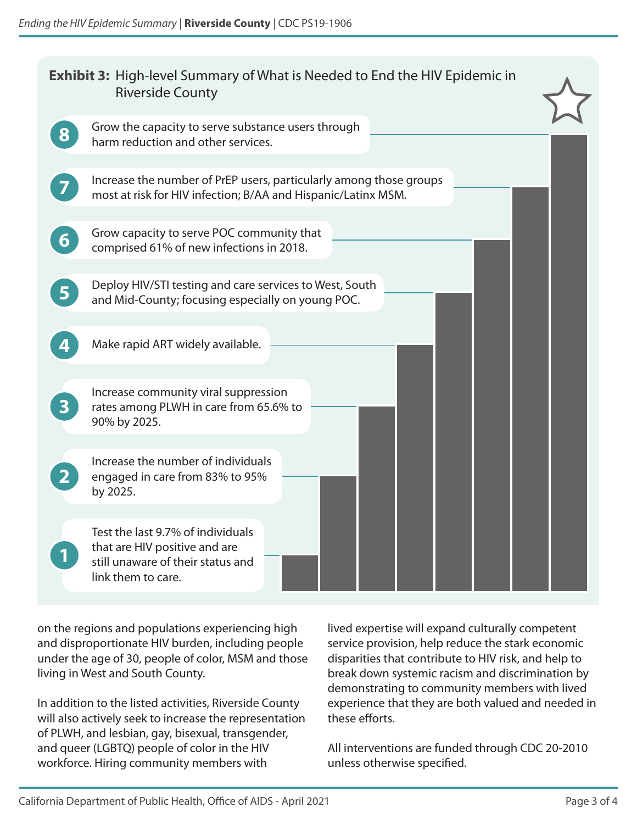| <b>Exhibit 3:</b> High-level Summary of What is Needed to End the HIV Epidemic in<br><b>Riverside County</b> |                                                                                                                                     |
|--------------------------------------------------------------------------------------------------------------|-------------------------------------------------------------------------------------------------------------------------------------|
| 8                                                                                                            | Grow the capacity to serve substance users through<br>harm reduction and other services.                                            |
|                                                                                                              | Increase the number of PrEP users, particularly among those groups<br>most at risk for HIV infection; B/AA and Hispanic/Latinx MSM. |
| 6                                                                                                            | Grow capacity to serve POC community that<br>comprised 61% of new infections in 2018.                                               |
| 5                                                                                                            | Deploy HIV/STI testing and care services to West, South<br>and Mid-County; focusing especially on young POC.                        |
|                                                                                                              | Make rapid ART widely available.                                                                                                    |
|                                                                                                              | Increase community viral suppression<br>rates among PLWH in care from 65.6% to<br>90% by 2025.                                      |
|                                                                                                              | Increase the number of individuals<br>engaged in care from 83% to 95%<br>by 2025.                                                   |
|                                                                                                              | Test the last 9.7% of individuals<br>that are HIV positive and are<br>still unaware of their status and<br>link them to care.       |

on the regions and populations experiencing high and disproportionate HIV burden, including people under the age of 30, people of color, MSM and those living in West and South County.

In addition to the listed activities, Riverside County will also actively seek to increase the representation of PLWH, and lesbian, gay, bisexual, transgender, and queer (LGBTQ) people of color in the HIV workforce. Hiring community members with

lived expertise will expand culturally competent service provision, help reduce the stark economic disparities that contribute to HIV risk, and help to break down systemic racism and discrimination by demonstrating to community members with lived experience that they are both valued and needed in these efforts.

All interventions are funded through CDC 20-2010 unless otherwise specified.